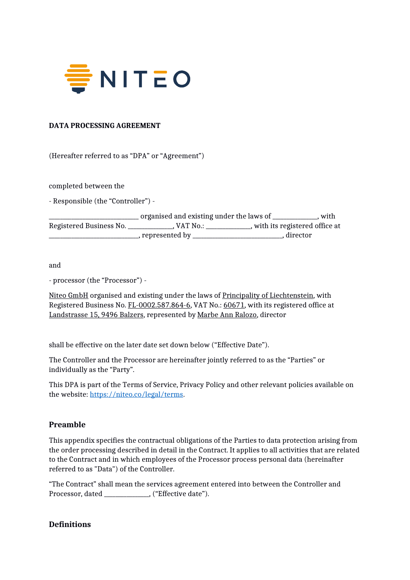

#### **DATA PROCESSING AGREEMENT**

(Hereafter referred to as "DPA" or "Agreement")

completed between the

- Responsible (the "Controller") -

|                         | organised and existing under the laws of<br>with |                                 |
|-------------------------|--------------------------------------------------|---------------------------------|
| Registered Business No. | . VAT No.:                                       | , with its registered office at |
|                         | , represented by                                 | . director                      |

and

- processor (the "Processor") -

Niteo GmbH organised and existing under the laws of Principality of Liechtenstein, with Registered Business No. FL-0002.587.864-6, VAT No.: 60671, with its registered office at Landstrasse 15, 9496 Balzers, represented by Marbe Ann Ralozo, director

shall be effective on the later date set down below ("Effective Date").

The Controller and the Processor are hereinafter jointly referred to as the "Parties" or individually as the "Party".

This DPA is part of the Terms of Service, Privacy Policy and other relevant policies available on the website:<https://niteo.co/legal/terms>.

### **Preamble**

This appendix specifies the contractual obligations of the Parties to data protection arising from the order processing described in detail in the Contract. It applies to all activities that are related to the Contract and in which employees of the Processor process personal data (hereinafter referred to as "Data") of the Controller.

"The Contract" shall mean the services agreement entered into between the Controller and Processor, dated (exceptionally contribute date").

#### **Definitions**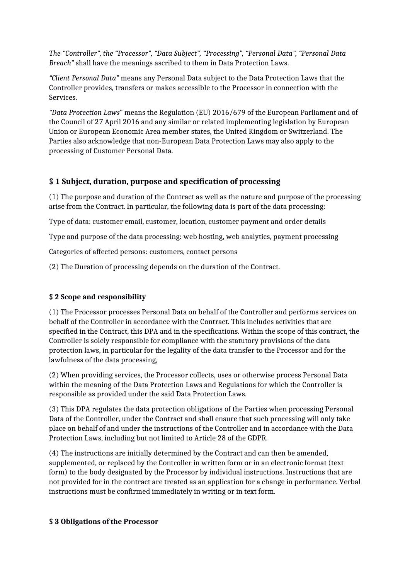*The "Controller", the "Processor", "Data Subject", "Processing", "Personal Data", "Personal Data Breach"* shall have the meanings ascribed to them in Data Protection Laws.

*"Client Personal Data"* means any Personal Data subject to the Data Protection Laws that the Controller provides, transfers or makes accessible to the Processor in connection with the Services.

*"Data Protection Laws*" means the Regulation (EU) 2016/679 of the European Parliament and of the Council of 27 April 2016 and any similar or related implementing legislation by European Union or European Economic Area member states, the United Kingdom or Switzerland. The Parties also acknowledge that non-European Data Protection Laws may also apply to the processing of Customer Personal Data.

## **§ 1 Subject, duration, purpose and specification of processing**

(1) The purpose and duration of the Contract as well as the nature and purpose of the processing arise from the Contract. In particular, the following data is part of the data processing:

Type of data: customer email, customer, location, customer payment and order details

Type and purpose of the data processing: web hosting, web analytics, payment processing

Categories of affected persons: customers, contact persons

(2) The Duration of processing depends on the duration of the Contract.

## **§ 2 Scope and responsibility**

(1) The Processor processes Personal Data on behalf of the Controller and performs services on behalf of the Controller in accordance with the Contract. This includes activities that are specified in the Contract, this DPA and in the specifications. Within the scope of this contract, the Controller is solely responsible for compliance with the statutory provisions of the data protection laws, in particular for the legality of the data transfer to the Processor and for the lawfulness of the data processing,

(2) When providing services, the Processor collects, uses or otherwise process Personal Data within the meaning of the Data Protection Laws and Regulations for which the Controller is responsible as provided under the said Data Protection Laws.

(3) This DPA regulates the data protection obligations of the Parties when processing Personal Data of the Controller, under the Contract and shall ensure that such processing will only take place on behalf of and under the instructions of the Controller and in accordance with the Data Protection Laws, including but not limited to Article 28 of the GDPR.

(4) The instructions are initially determined by the Contract and can then be amended, supplemented, or replaced by the Controller in written form or in an electronic format (text form) to the body designated by the Processor by individual instructions. Instructions that are not provided for in the contract are treated as an application for a change in performance. Verbal instructions must be confirmed immediately in writing or in text form.

### **§ 3 Obligations of the Processor**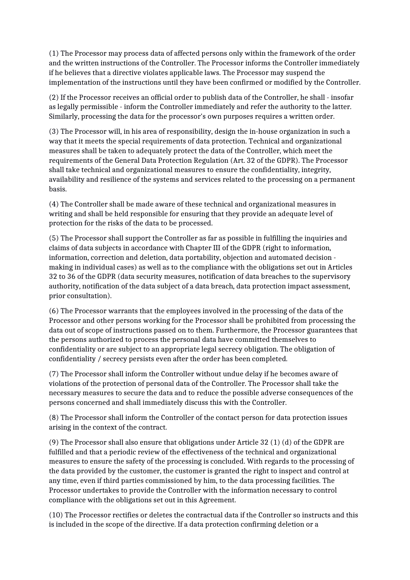(1) The Processor may process data of affected persons only within the framework of the order and the written instructions of the Controller. The Processor informs the Controller immediately if he believes that a directive violates applicable laws. The Processor may suspend the implementation of the instructions until they have been confirmed or modified by the Controller.

(2) If the Processor receives an official order to publish data of the Controller, he shall - insofar as legally permissible - inform the Controller immediately and refer the authority to the latter. Similarly, processing the data for the processor's own purposes requires a written order.

(3) The Processor will, in his area of responsibility, design the in-house organization in such a way that it meets the special requirements of data protection. Technical and organizational measures shall be taken to adequately protect the data of the Controller, which meet the requirements of the General Data Protection Regulation (Art. 32 of the GDPR). The Processor shall take technical and organizational measures to ensure the confidentiality, integrity, availability and resilience of the systems and services related to the processing on a permanent basis.

(4) The Controller shall be made aware of these technical and organizational measures in writing and shall be held responsible for ensuring that they provide an adequate level of protection for the risks of the data to be processed.

(5) The Processor shall support the Controller as far as possible in fulfilling the inquiries and claims of data subjects in accordance with Chapter III of the GDPR (right to information, information, correction and deletion, data portability, objection and automated decision making in individual cases) as well as to the compliance with the obligations set out in Articles 32 to 36 of the GDPR (data security measures, notification of data breaches to the supervisory authority, notification of the data subject of a data breach, data protection impact assessment, prior consultation).

(6) The Processor warrants that the employees involved in the processing of the data of the Processor and other persons working for the Processor shall be prohibited from processing the data out of scope of instructions passed on to them. Furthermore, the Processor guarantees that the persons authorized to process the personal data have committed themselves to confidentiality or are subject to an appropriate legal secrecy obligation. The obligation of confidentiality / secrecy persists even after the order has been completed.

(7) The Processor shall inform the Controller without undue delay if he becomes aware of violations of the protection of personal data of the Controller. The Processor shall take the necessary measures to secure the data and to reduce the possible adverse consequences of the persons concerned and shall immediately discuss this with the Controller.

(8) The Processor shall inform the Controller of the contact person for data protection issues arising in the context of the contract.

(9) The Processor shall also ensure that obligations under Article 32 (1) (d) of the GDPR are fulfilled and that a periodic review of the effectiveness of the technical and organizational measures to ensure the safety of the processing is concluded. With regards to the processing of the data provided by the customer, the customer is granted the right to inspect and control at any time, even if third parties commissioned by him, to the data processing facilities. The Processor undertakes to provide the Controller with the information necessary to control compliance with the obligations set out in this Agreement.

(10) The Processor rectifies or deletes the contractual data if the Controller so instructs and this is included in the scope of the directive. If a data protection confirming deletion or a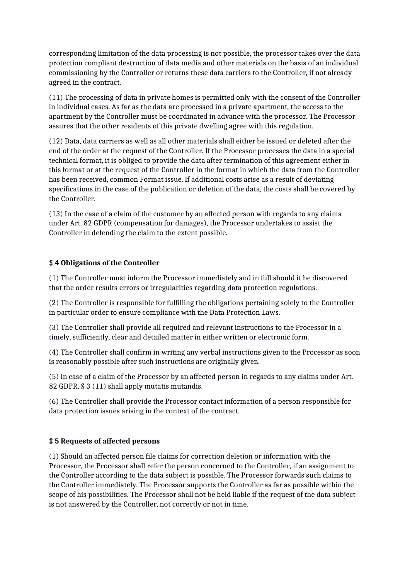corresponding limitation of the data processing is not possible, the processor takes over the data protection compliant destruction of data media and other materials on the basis of an individual commissioning by the Controller or returns these data carriers to the Controller, if not already agreed in the contract.

(11) The processing of data in private homes is permitted only with the consent of the Controller in individual cases. As far as the data are processed in a private apartment, the access to the apartment by the Controller must be coordinated in advance with the processor. The Processor assures that the other residents of this private dwelling agree with this regulation.

(12) Data, data carriers as well as all other materials shall either be issued or deleted after the end of the order at the request of the Controller. If the Processor processes the data in a special technical format, it is obliged to provide the data after termination of this agreement either in this format or at the request of the Controller in the format in which the data from the Controller has been received, common Format issue. If additional costs arise as a result of deviating specifications in the case of the publication or deletion of the data, the costs shall be covered by the Controller.

(13) In the case of a claim of the customer by an affected person with regards to any claims under Art. 82 GDPR (compensation for damages), the Processor undertakes to assist the Controller in defending the claim to the extent possible.

### **§ 4 Obligations of the Controller**

(1) The Controller must inform the Processor immediately and in full should it be discovered that the order results errors or irregularities regarding data protection regulations.

(2) The Controller is responsible for fulfilling the obligations pertaining solely to the Controller in particular order to ensure compliance with the Data Protection Laws.

(3) The Controller shall provide all required and relevant instructions to the Processor in a timely, sufficiently, clear and detailed matter in either written or electronic form.

(4) The Controller shall confirm in writing any verbal instructions given to the Processor as soon is reasonably possible after such instructions are originally given.

(5) In case of a claim of the Processor by an affected person in regards to any claims under Art. 82 GDPR, § 3 (11) shall apply mutatis mutandis.

(6) The Controller shall provide the Processor contact information of a person responsible for data protection issues arising in the context of the contract.

### **§ 5 Requests of affected persons**

(1) Should an affected person file claims for correction deletion or information with the Processor, the Processor shall refer the person concerned to the Controller, if an assignment to the Controller according to the data subject is possible. The Processor forwards such claims to the Controller immediately. The Processor supports the Controller as far as possible within the scope of his possibilities. The Processor shall not be held liable if the request of the data subject is not answered by the Controller, not correctly or not in time.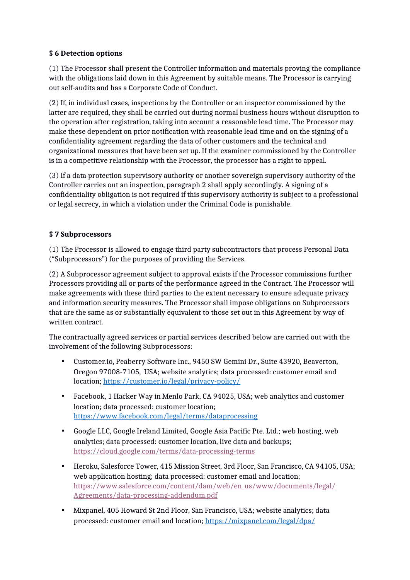### **§ 6 Detection options**

(1) The Processor shall present the Controller information and materials proving the compliance with the obligations laid down in this Agreement by suitable means. The Processor is carrying out self-audits and has a Corporate Code of Conduct.

(2) If, in individual cases, inspections by the Controller or an inspector commissioned by the latter are required, they shall be carried out during normal business hours without disruption to the operation after registration, taking into account a reasonable lead time. The Processor may make these dependent on prior notification with reasonable lead time and on the signing of a confidentiality agreement regarding the data of other customers and the technical and organizational measures that have been set up. If the examiner commissioned by the Controller is in a competitive relationship with the Processor, the processor has a right to appeal.

(3) If a data protection supervisory authority or another sovereign supervisory authority of the Controller carries out an inspection, paragraph 2 shall apply accordingly. A signing of a confidentiality obligation is not required if this supervisory authority is subject to a professional or legal secrecy, in which a violation under the Criminal Code is punishable.

### **§ 7 Subprocessors**

(1) The Processor is allowed to engage third party subcontractors that process Personal Data ("Subprocessors") for the purposes of providing the Services.

(2) A Subprocessor agreement subject to approval exists if the Processor commissions further Processors providing all or parts of the performance agreed in the Contract. The Processor will make agreements with these third parties to the extent necessary to ensure adequate privacy and information security measures. The Processor shall impose obligations on Subprocessors that are the same as or substantially equivalent to those set out in this Agreement by way of written contract.

The contractually agreed services or partial services described below are carried out with the involvement of the following Subprocessors:

- Customer.io, Peaberry Software Inc., 9450 SW Gemini Dr., Suite 43920, Beaverton, Oregon 97008-7105, USA; website analytics; data processed: customer email and location;<https://customer.io/legal/privacy-policy/>
- Facebook, 1 Hacker Way in Menlo Park, CA 94025, USA; web analytics and customer location; data processed: customer location; <https://www.facebook.com/legal/terms/dataprocessing>
- Google LLC, Google Ireland Limited, Google Asia Pacific Pte. Ltd.; web hosting, web analytics; data processed: customer location, live data and backups; https://cloud.google.com/terms/data-processing-terms
- Heroku, Salesforce Tower, 415 Mission Street, 3rd Floor, San Francisco, CA 94105, USA; web application hosting; data processed: customer email and location; [https://www.salesforce.com/content/dam/web/en\\_us/www/documents/legal/](https://www.salesforce.com/content/dam/web/en_us/www/documents/legal/Agreements/data-processing-addendum.pdf) [Agreements/data-processing-addendum.pdf](https://www.salesforce.com/content/dam/web/en_us/www/documents/legal/Agreements/data-processing-addendum.pdf)
- Mixpanel, 405 Howard St 2nd Floor, San Francisco, USA; website analytics; data processed: customer email and location; <https://mixpanel.com/legal/dpa/>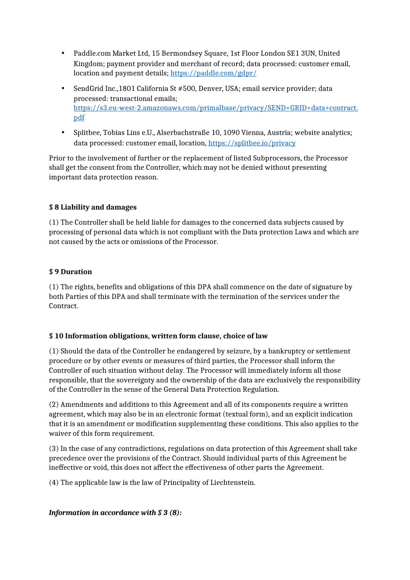- Paddle.com Market Ltd, 15 Bermondsey Square, 1st Floor London SE1 3UN, United Kingdom; payment provider and merchant of record; data processed: customer email, location and payment details; <https://paddle.com/gdpr/>
- SendGrid Inc.,1801 California St #500, Denver, USA; email service provider; data processed: transactional emails; [https://s3.eu-west-2.amazonaws.com/primalbase/privacy/SEND+GRID+data+contract.](https://s3.eu-west-2.amazonaws.com/primalbase/privacy/SEND+GRID+data+contract.pdf) [pdf](https://s3.eu-west-2.amazonaws.com/primalbase/privacy/SEND+GRID+data+contract.pdf)
- Splitbee, Tobias Lins e.U., Alserbachstraße 10, 1090 Vienna, Austria; website analytics; data processed: customer email, location, <https://splitbee.io/privacy>

Prior to the involvement of further or the replacement of listed Subprocessors, the Processor shall get the consent from the Controller, which may not be denied without presenting important data protection reason.

## **§ 8 Liability and damages**

(1) The Controller shall be held liable for damages to the concerned data subjects caused by processing of personal data which is not compliant with the Data protection Laws and which are not caused by the acts or omissions of the Processor.

## **§ 9 Duration**

(1) The rights, benefits and obligations of this DPA shall commence on the date of signature by both Parties of this DPA and shall terminate with the termination of the services under the Contract.

## **§ 10 Information obligations, written form clause, choice of law**

(1) Should the data of the Controller be endangered by seizure, by a bankruptcy or settlement procedure or by other events or measures of third parties, the Processor shall inform the Controller of such situation without delay. The Processor will immediately inform all those responsible, that the sovereignty and the ownership of the data are exclusively the responsibility of the Controller in the sense of the General Data Protection Regulation.

(2) Amendments and additions to this Agreement and all of its components require a written agreement, which may also be in an electronic format (textual form), and an explicit indication that it is an amendment or modification supplementing these conditions. This also applies to the waiver of this form requirement.

(3) In the case of any contradictions, regulations on data protection of this Agreement shall take precedence over the provisions of the Contract. Should individual parts of this Agreement be ineffective or void, this does not affect the effectiveness of other parts the Agreement.

(4) The applicable law is the law of Principality of Liechtenstein.

## *Information in accordance with § 3 (8):*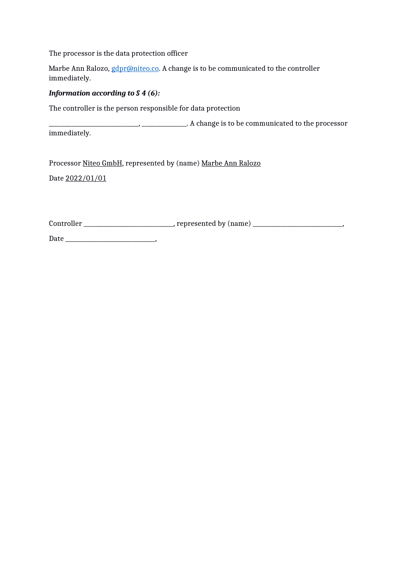The processor is the data protection officer

Marbe Ann Ralozo, *gdpr@niteo.co*. A change is to be communicated to the controller immediately.

#### *Information according to § 4 (6):*

The controller is the person responsible for data protection

 $\Box$ ,  $\Box$ ,  $\Box$ ,  $\Box$ . A change is to be communicated to the processor

immediately.

Processor Niteo GmbH, represented by (name) Marbe Ann Ralozo

Date 2022/01/01

Controller \_\_\_\_\_\_\_\_\_\_\_\_\_\_\_\_\_\_\_\_\_\_\_\_\_\_\_\_\_\_\_\_, represented by (name) \_\_\_\_\_\_\_\_\_\_\_\_\_\_\_\_\_\_\_\_\_\_\_\_\_\_\_\_\_\_\_\_,

Date \_\_\_\_\_\_\_\_\_\_\_\_\_\_\_\_\_\_\_\_\_\_\_\_\_\_\_\_\_\_\_\_,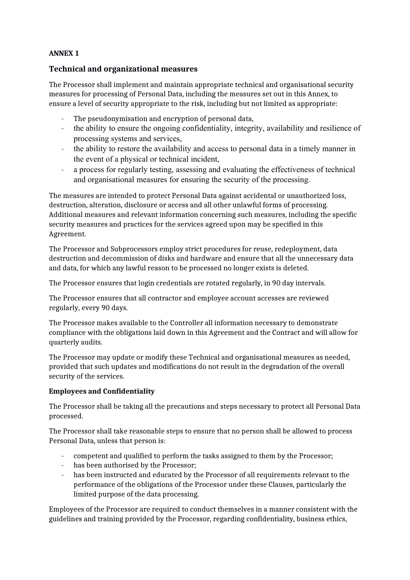### **ANNEX 1**

### **Technical and organizational measures**

The Processor shall implement and maintain appropriate technical and organisational security measures for processing of Personal Data, including the measures set out in this Annex, to ensure a level of security appropriate to the risk, including but not limited as appropriate:

- The pseudonymisation and encryption of personal data,
- the ability to ensure the ongoing confidentiality, integrity, availability and resilience of processing systems and services,
- the ability to restore the availability and access to personal data in a timely manner in the event of a physical or technical incident,
- a process for regularly testing, assessing and evaluating the effectiveness of technical and organisational measures for ensuring the security of the processing.

The measures are intended to protect Personal Data against accidental or unauthorized loss, destruction, alteration, disclosure or access and all other unlawful forms of processing. Additional measures and relevant information concerning such measures, including the specific security measures and practices for the services agreed upon may be specified in this Agreement.

The Processor and Subprocessors employ strict procedures for reuse, redeployment, data destruction and decommission of disks and hardware and ensure that all the unnecessary data and data, for which any lawful reason to be processed no longer exists is deleted.

The Processor ensures that login credentials are rotated regularly, in 90 day intervals.

The Processor ensures that all contractor and employee account accesses are reviewed regularly, every 90 days.

The Processor makes available to the Controller all information necessary to demonstrate compliance with the obligations laid down in this Agreement and the Contract and will allow for quarterly audits.

The Processor may update or modify these Technical and organisational measures as needed, provided that such updates and modifications do not result in the degradation of the overall security of the services.

### **Employees and Confidentiality**

The Processor shall be taking all the precautions and steps necessary to protect all Personal Data processed.

The Processor shall take reasonable steps to ensure that no person shall be allowed to process Personal Data, unless that person is:

- competent and qualified to perform the tasks assigned to them by the Processor;
- has been authorised by the Processor;
- has been instructed and educated by the Processor of all requirements relevant to the performance of the obligations of the Processor under these Clauses, particularly the limited purpose of the data processing.

Employees of the Processor are required to conduct themselves in a manner consistent with the guidelines and training provided by the Processor, regarding confidentiality, business ethics,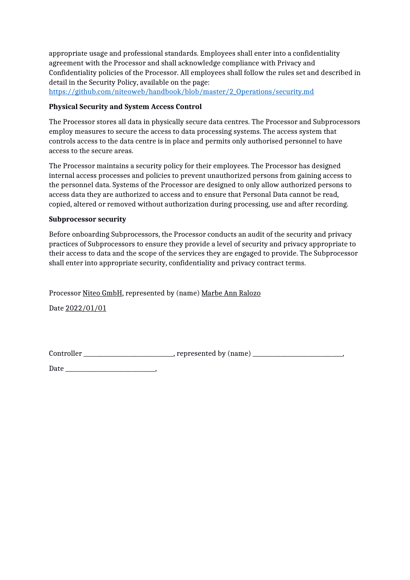appropriate usage and professional standards. Employees shall enter into a confidentiality agreement with the Processor and shall acknowledge compliance with Privacy and Confidentiality policies of the Processor. All employees shall follow the rules set and described in detail in the Security Policy, available on the page:

https://github.com/niteoweb/handbook/blob/master/2\_Operations/security.md

#### **Physical Security and System Access Control**

The Processor stores all data in physically secure data centres. The Processor and Subprocessors employ measures to secure the access to data processing systems. The access system that controls access to the data centre is in place and permits only authorised personnel to have access to the secure areas.

The Processor maintains a security policy for their employees. The Processor has designed internal access processes and policies to prevent unauthorized persons from gaining access to the personnel data. Systems of the Processor are designed to only allow authorized persons to access data they are authorized to access and to ensure that Personal Data cannot be read, copied, altered or removed without authorization during processing, use and after recording.

#### **Subprocessor security**

Before onboarding Subprocessors, the Processor conducts an audit of the security and privacy practices of Subprocessors to ensure they provide a level of security and privacy appropriate to their access to data and the scope of the services they are engaged to provide. The Subprocessor shall enter into appropriate security, confidentiality and privacy contract terms.

Processor Niteo GmbH, represented by (name) Marbe Ann Ralozo

Date 2022/01/01

Controller \_\_\_\_\_\_\_\_\_\_\_\_\_\_\_\_\_\_\_\_\_\_\_\_\_\_\_\_\_\_\_\_\_, represented by (name) \_\_\_\_\_\_\_\_\_\_\_\_\_\_\_\_\_\_\_

 $Date$   $\qquad \qquad$